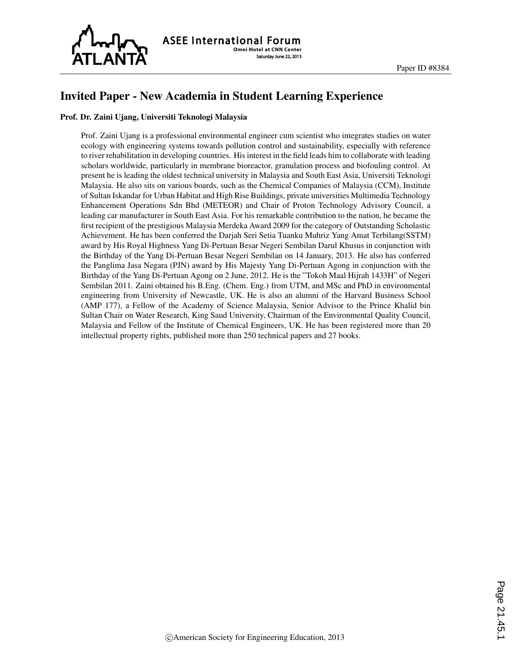

**ASEE International Forum Omni Hotel at CNN Center** Saturday June 22, 2013

## Invited Paper - New Academia in Student Learning Experience

## Prof. Dr. Zaini Ujang, Universiti Teknologi Malaysia

Prof. Zaini Ujang is a professional environmental engineer cum scientist who integrates studies on water ecology with engineering systems towards pollution control and sustainability, especially with reference to river rehabilitation in developing countries. His interest in the field leads him to collaborate with leading scholars worldwide, particularly in membrane bioreactor, granulation process and biofouling control. At present he is leading the oldest technical university in Malaysia and South East Asia, Universiti Teknologi Malaysia. He also sits on various boards, such as the Chemical Companies of Malaysia (CCM), Institute of Sultan Iskandar for Urban Habitat and High Rise Buildings, private universities Multimedia Technology Enhancement Operations Sdn Bhd (METEOR) and Chair of Proton Technology Advisory Council, a leading car manufacturer in South East Asia. For his remarkable contribution to the nation, he became the first recipient of the prestigious Malaysia Merdeka Award 2009 for the category of Outstanding Scholastic Achievement. He has been conferred the Darjah Seri Setia Tuanku Muhriz Yang Amat Terbilang(SSTM) award by His Royal Highness Yang Di-Pertuan Besar Negeri Sembilan Darul Khusus in conjunction with the Birthday of the Yang Di-Pertuan Besar Negeri Sembilan on 14 January, 2013. He also has conferred the Panglima Jasa Negara (PJN) award by His Majesty Yang Di-Pertuan Agong in conjunction with the Birthday of the Yang Di-Pertuan Agong on 2 June, 2012. He is the "Tokoh Maal Hijrah 1433H" of Negeri Sembilan 2011. Zaini obtained his B.Eng. (Chem. Eng.) from UTM, and MSc and PhD in environmental engineering from University of Newcastle, UK. He is also an alumni of the Harvard Business School (AMP 177), a Fellow of the Academy of Science Malaysia, Senior Advisor to the Prince Khalid bin Sultan Chair on Water Research, King Saud University, Chairman of the Environmental Quality Council, Malaysia and Fellow of the Institute of Chemical Engineers, UK. He has been registered more than 20 intellectual property rights, published more than 250 technical papers and 27 books.